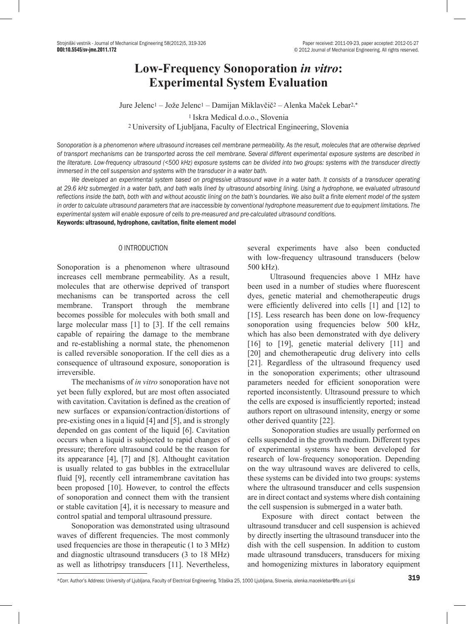# **Low-Frequency Sonoporation** *in vitro***: Experimental System Evaluation**

Jure Jelenc1 – Jože Jelenc1 – Damijan Miklavčič2 – Alenka Maček Lebar2,\* <sup>1</sup>Iskra Medical d.o.o., Slovenia

<sup>2</sup>University of Ljubljana, Faculty of Electrical Engineering, Slovenia

*Sonoporation is a phenomenon where ultrasound increases cell membrane permeability. As the result, molecules that are otherwise deprived of transport mechanisms can be transported across the cell membrane. Several different experimental exposure systems are described in the literature. Low-frequency ultrasound (<500 kHz) exposure systems can be divided into two groups: systems with the transducer directly immersed in the cell suspension and systems with the transducer in a water bath.* 

We developed an experimental system based on progressive ultrasound wave in a water bath. It consists of a transducer operating *at 29.6 kHz submerged in a water bath, and bath walls lined by ultrasound absorbing lining. Using a hydrophone, we evaluated ultrasound reflections inside the bath, both with and without acoustic lining on the bath's boundaries. We also built a finite element model of the system in order to calculate ultrasound parameters that are inaccessible by conventional hydrophone measurement due to equipment limitations. The experimental system will enable exposure of cells to pre-measured and pre-calculated ultrasound conditions.* 

Keywords: ultrasound, hydrophone, cavitation, finite element model

# 0 INTRODUCTION

Sonoporation is a phenomenon where ultrasound increases cell membrane permeability. As a result, molecules that are otherwise deprived of transport mechanisms can be transported across the cell membrane. Transport through the membrane becomes possible for molecules with both small and large molecular mass [1] to [3]. If the cell remains capable of repairing the damage to the membrane and re-establishing a normal state, the phenomenon is called reversible sonoporation. If the cell dies as a consequence of ultrasound exposure, sonoporation is irreversible.

The mechanisms of *in vitro* sonoporation have not yet been fully explored, but are most often associated with cavitation. Cavitation is defined as the creation of new surfaces or expansion/contraction/distortions of pre-existing ones in a liquid [4] and [5], and is strongly depended on gas content of the liquid [6]. Cavitation occurs when a liquid is subjected to rapid changes of pressure; therefore ultrasound could be the reason for its appearance [4], [7] and [8]. Althought cavitation is usually related to gas bubbles in the extracellular fluid [9], recently cell intramembrane cavitation has been proposed [10]. However, to control the effects of sonoporation and connect them with the transient or stable cavitation [4], it is necessary to measure and control spatial and temporal ultrasound pressure.

Sonoporation was demonstrated using ultrasound waves of different frequencies. The most commonly used frequencies are those in therapeutic (1 to 3 MHz) and diagnostic ultrasound transducers (3 to 18 MHz) as well as lithotripsy transducers [11]. Nevertheless,

several experiments have also been conducted with low-frequency ultrasound transducers (below 500 kHz).

Ultrasound frequencies above 1 MHz have been used in a number of studies where fluorescent dyes, genetic material and chemotherapeutic drugs were efficiently delivered into cells [1] and [12] to [15]. Less research has been done on low-frequency sonoporation using frequencies below 500 kHz, which has also been demonstrated with dye delivery [16] to [19], genetic material delivery [11] and [20] and chemotherapeutic drug delivery into cells [21]. Regardless of the ultrasound frequency used in the sonoporation experiments; other ultrasound parameters needed for efficient sonoporation were reported inconsistently. Ultrasound pressure to which the cells are exposed is insufficiently reported; instead authors report on ultrasound intensity, energy or some other derived quantity [22].

 Sonoporation studies are usually performed on cells suspended in the growth medium. Different types of experimental systems have been developed for research of low-frequency sonoporation. Depending on the way ultrasound waves are delivered to cells, these systems can be divided into two groups: systems where the ultrasound transducer and cells suspension are in direct contact and systems where dish containing the cell suspension is submerged in a water bath.

Exposure with direct contact between the ultrasound transducer and cell suspension is achieved by directly inserting the ultrasound transducer into the dish with the cell suspension. In addition to custom made ultrasound transducers, transducers for mixing and homogenizing mixtures in laboratory equipment

<sup>\*</sup>Corr. Author's Address: University of Ljubljana, Faculty of Electrical Engineering, Tržaška 25, 1000 Ljubljana, Slovenia, alenka.maceklebar@fe.uni-lj.si 319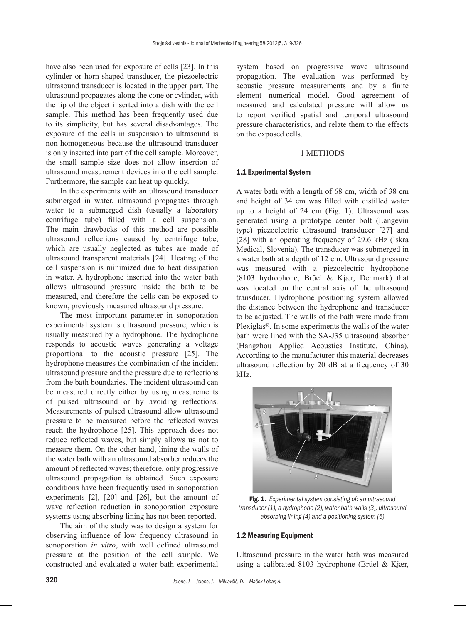have also been used for exposure of cells [23]. In this cylinder or horn-shaped transducer, the piezoelectric ultrasound transducer is located in the upper part. The ultrasound propagates along the cone or cylinder, with the tip of the object inserted into a dish with the cell sample. This method has been frequently used due to its simplicity, but has several disadvantages. The exposure of the cells in suspension to ultrasound is non-homogeneous because the ultrasound transducer is only inserted into part of the cell sample. Moreover, the small sample size does not allow insertion of ultrasound measurement devices into the cell sample. Furthermore, the sample can heat up quickly.

In the experiments with an ultrasound transducer submerged in water, ultrasound propagates through water to a submerged dish (usually a laboratory centrifuge tube) filled with a cell suspension. The main drawbacks of this method are possible ultrasound reflections caused by centrifuge tube, which are usually neglected as tubes are made of ultrasound transparent materials [24]. Heating of the cell suspension is minimized due to heat dissipation in water. A hydrophone inserted into the water bath allows ultrasound pressure inside the bath to be measured, and therefore the cells can be exposed to known, previously measured ultrasound pressure.

The most important parameter in sonoporation experimental system is ultrasound pressure, which is usually measured by a hydrophone. The hydrophone responds to acoustic waves generating a voltage proportional to the acoustic pressure [25]. The hydrophone measures the combination of the incident ultrasound pressure and the pressure due to reflections from the bath boundaries. The incident ultrasound can be measured directly either by using measurements of pulsed ultrasound or by avoiding reflections. Measurements of pulsed ultrasound allow ultrasound pressure to be measured before the reflected waves reach the hydrophone [25]. This approach does not reduce reflected waves, but simply allows us not to measure them. On the other hand, lining the walls of the water bath with an ultrasound absorber reduces the amount of reflected waves; therefore, only progressive ultrasound propagation is obtained. Such exposure conditions have been frequently used in sonoporation experiments [2], [20] and [26], but the amount of wave reflection reduction in sonoporation exposure systems using absorbing lining has not been reported.

The aim of the study was to design a system for observing influence of low frequency ultrasound in sonoporation *in vitro*, with well defined ultrasound pressure at the position of the cell sample. We constructed and evaluated a water bath experimental system based on progressive wave ultrasound propagation. The evaluation was performed by acoustic pressure measurements and by a finite element numerical model. Good agreement of measured and calculated pressure will allow us to report verified spatial and temporal ultrasound pressure characteristics, and relate them to the effects on the exposed cells.

# 1 METHODS

#### 1.1 Experimental System

A water bath with a length of 68 cm, width of 38 cm and height of 34 cm was filled with distilled water up to a height of 24 cm (Fig. 1). Ultrasound was generated using a prototype center bolt (Langevin type) piezoelectric ultrasound transducer [27] and [28] with an operating frequency of 29.6 kHz (Iskra Medical, Slovenia). The transducer was submerged in a water bath at a depth of 12 cm. Ultrasound pressure was measured with a piezoelectric hydrophone (8103 hydrophone, Brüel & Kjær, Denmark) that was located on the central axis of the ultrasound transducer. Hydrophone positioning system allowed the distance between the hydrophone and transducer to be adjusted. The walls of the bath were made from Plexiglas®. In some experiments the walls of the water bath were lined with the SA-J35 ultrasound absorber (Hangzhou Applied Acoustics Institute, China). According to the manufacturer this material decreases ultrasound reflection by 20 dB at a frequency of 30 kHz.



Fig. 1. *Experimental system consisting of: an ultrasound transducer (1), a hydrophone (2), water bath walls (3), ultrasound absorbing lining (4) and a positioning system (5)*

## 1.2 Measuring Equipment

Ultrasound pressure in the water bath was measured using a calibrated 8103 hydrophone (Brüel & Kjær,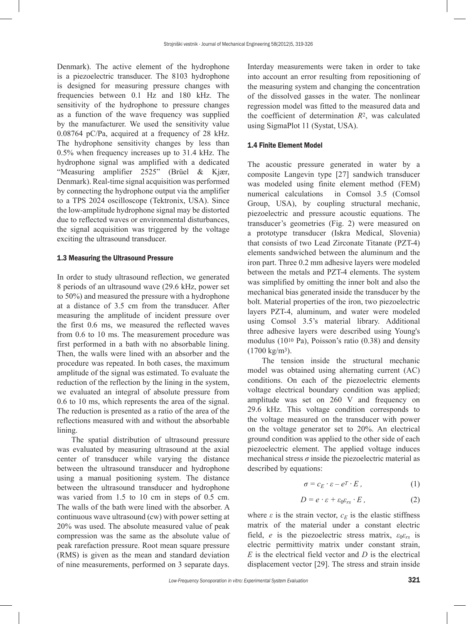Denmark). The active element of the hydrophone is a piezoelectric transducer. The 8103 hydrophone is designed for measuring pressure changes with frequencies between 0.1 Hz and 180 kHz. The sensitivity of the hydrophone to pressure changes as a function of the wave frequency was supplied by the manufacturer. We used the sensitivity value 0.08764 pC/Pa, acquired at a frequency of 28 kHz. The hydrophone sensitivity changes by less than 0.5% when frequency increases up to 31.4 kHz. The hydrophone signal was amplified with a dedicated "Measuring amplifier 2525" (Brüel & Kjær, Denmark). Real-time signal acquisition was performed by connecting the hydrophone output via the amplifier to a TPS 2024 oscilloscope (Tektronix, USA). Since the low-amplitude hydrophone signal may be distorted due to reflected waves or environmental disturbances, the signal acquisition was triggered by the voltage exciting the ultrasound transducer.

#### 1.3 Measuring the Ultrasound Pressure

In order to study ultrasound reflection, we generated 8 periods of an ultrasound wave (29.6 kHz, power set to 50%) and measured the pressure with a hydrophone at a distance of 3.5 cm from the transducer. After measuring the amplitude of incident pressure over the first 0.6 ms, we measured the reflected waves from 0.6 to 10 ms. The measurement procedure was first performed in a bath with no absorbable lining. Then, the walls were lined with an absorber and the procedure was repeated. In both cases, the maximum amplitude of the signal was estimated. To evaluate the reduction of the reflection by the lining in the system, we evaluated an integral of absolute pressure from 0.6 to 10 ms, which represents the area of the signal. The reduction is presented as a ratio of the area of the reflections measured with and without the absorbable lining.

The spatial distribution of ultrasound pressure was evaluated by measuring ultrasound at the axial center of transducer while varying the distance between the ultrasound transducer and hydrophone using a manual positioning system. The distance between the ultrasound transducer and hydrophone was varied from 1.5 to 10 cm in steps of 0.5 cm. The walls of the bath were lined with the absorber. A continuous wave ultrasound (cw) with power setting at 20% was used. The absolute measured value of peak compression was the same as the absolute value of peak rarefaction pressure. Root mean square pressure (RMS) is given as the mean and standard deviation of nine measurements, performed on 3 separate days.

Interday measurements were taken in order to take into account an error resulting from repositioning of the measuring system and changing the concentration of the dissolved gasses in the water. The nonlinear regression model was fitted to the measured data and the coefficient of determination *R*2, was calculated using SigmaPlot 11 (Systat, USA).

## 1.4 Finite Element Model

The acoustic pressure generated in water by a composite Langevin type [27] sandwich transducer was modeled using finite element method (FEM) numerical calculations in Comsol 3.5 (Comsol Group, USA), by coupling structural mechanic, piezoelectric and pressure acoustic equations. The transducer's geometries (Fig. 2) were measured on a prototype transducer (Iskra Medical, Slovenia) that consists of two Lead Zirconate Titanate (PZT-4) elements sandwiched between the aluminum and the iron part. Three 0.2 mm adhesive layers were modeled between the metals and PZT-4 elements. The system was simplified by omitting the inner bolt and also the mechanical bias generated inside the transducer by the bolt. Material properties of the iron, two piezoelectric layers PZT-4, aluminum, and water were modeled using Comsol 3.5's material library. Additional three adhesive layers were described using Young's modulus (1010 Pa), Poisson's ratio (0.38) and density (1700 kg/m3).

The tension inside the structural mechanic model was obtained using alternating current (AC) conditions. On each of the piezoelectric elements voltage electrical boundary condition was applied; amplitude was set on 260 V and frequency on 29.6 kHz. This voltage condition corresponds to the voltage measured on the transducer with power on the voltage generator set to 20%. An electrical ground condition was applied to the other side of each piezoelectric element. The applied voltage induces mechanical stress  $\sigma$  inside the piezoelectric material as described by equations:

$$
\sigma = c_E \cdot \varepsilon - e^T \cdot E \,, \tag{1}
$$

$$
D = e \cdot \varepsilon + \varepsilon_0 \varepsilon_{rs} \cdot E \,, \tag{2}
$$

where  $\varepsilon$  is the strain vector,  $c_E$  is the elastic stiffness matrix of the material under a constant electric field, *e* is the piezoelectric stress matrix,  $\varepsilon_0 \varepsilon_r$  is electric permittivity matrix under constant strain, *E* is the electrical field vector and *D* is the electrical displacement vector [29]. The stress and strain inside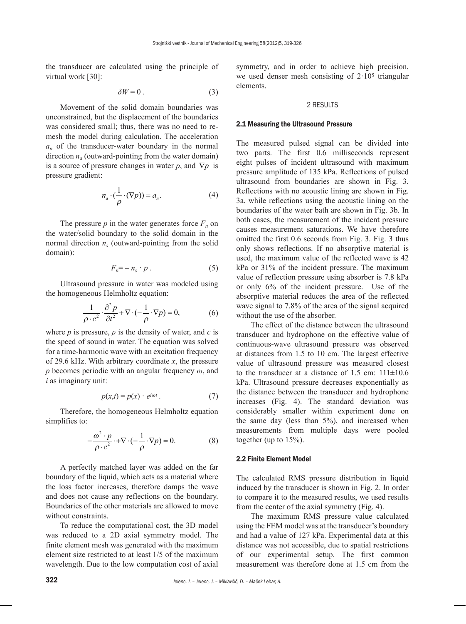the transducer are calculated using the principle of virtual work [30]:

$$
\delta W = 0 \tag{3}
$$

Movement of the solid domain boundaries was unconstrained, but the displacement of the boundaries was considered small; thus, there was no need to remesh the model during calculation. The acceleration *an* of the transducer-water boundary in the normal direction  $n_a$  (outward-pointing from the water domain) is a source of pressure changes in water *p*, and  $\nabla p$  is pressure gradient:

$$
n_a \cdot (\frac{1}{\rho} \cdot (\nabla p)) = a_n. \tag{4}
$$

The pressure  $p$  in the water generates force  $F_n$  on the water/solid boundary to the solid domain in the normal direction  $n<sub>s</sub>$  (outward-pointing from the solid domain):

$$
F_n = -n_s \cdot p \tag{5}
$$

Ultrasound pressure in water was modeled using the homogeneous Helmholtz equation:

$$
\frac{1}{\rho \cdot c^2} \cdot \frac{\partial^2 p}{\partial t^2} + \nabla \cdot (-\frac{1}{\rho} \cdot \nabla p) = 0,\tag{6}
$$

where  $p$  is pressure,  $\rho$  is the density of water, and  $c$  is the speed of sound in water. The equation was solved for a time-harmonic wave with an excitation frequency of 29.6 kHz. With arbitrary coordinate *x*, the pressure *p* becomes periodic with an angular frequency *ω*, and *i* as imaginary unit:

$$
p(x,t) = p(x) \cdot e^{i\omega t} \,. \tag{7}
$$

Therefore, the homogeneous Helmholtz equation simplifies to:

$$
-\frac{\omega^2 \cdot p}{\rho \cdot c^2} \cdot +\nabla \cdot (-\frac{1}{\rho} \cdot \nabla p) = 0.
$$
 (8)

A perfectly matched layer was added on the far boundary of the liquid, which acts as a material where the loss factor increases, therefore damps the wave and does not cause any reflections on the boundary. Boundaries of the other materials are allowed to move without constraints.

To reduce the computational cost, the 3D model was reduced to a 2D axial symmetry model. The finite element mesh was generated with the maximum element size restricted to at least 1/5 of the maximum wavelength. Due to the low computation cost of axial symmetry, and in order to achieve high precision, we used denser mesh consisting of  $2 \cdot 10^5$  triangular elements.

# 2 RESULTS

# 2.1 Measuring the Ultrasound Pressure

The measured pulsed signal can be divided into two parts. The first 0.6 milliseconds represent eight pulses of incident ultrasound with maximum pressure amplitude of 135 kPa. Reflections of pulsed ultrasound from boundaries are shown in Fig. 3. Reflections with no acoustic lining are shown in Fig. 3a, while reflections using the acoustic lining on the boundaries of the water bath are shown in Fig. 3b. In both cases, the measurement of the incident pressure causes measurement saturations. We have therefore omitted the first 0.6 seconds from Fig. 3. Fig. 3 thus only shows reflections. If no absorptive material is used, the maximum value of the reflected wave is 42 kPa or 31% of the incident pressure. The maximum value of reflection pressure using absorber is 7.8 kPa or only 6% of the incident pressure. Use of the absorptive material reduces the area of the reflected wave signal to 7.8% of the area of the signal acquired without the use of the absorber.

The effect of the distance between the ultrasound transducer and hydrophone on the effective value of continuous-wave ultrasound pressure was observed at distances from 1.5 to 10 cm. The largest effective value of ultrasound pressure was measured closest to the transducer at a distance of  $1.5$  cm:  $111\pm10.6$ kPa. Ultrasound pressure decreases exponentially as the distance between the transducer and hydrophone increases (Fig. 4). The standard deviation was considerably smaller within experiment done on the same day (less than 5%), and increased when measurements from multiple days were pooled together (up to 15%).

#### 2.2 Finite Element Model

The calculated RMS pressure distribution in liquid induced by the transducer is shown in Fig. 2. In order to compare it to the measured results, we used results from the center of the axial symmetry (Fig. 4).

The maximum RMS pressure value calculated using the FEM model was at the transducer's boundary and had a value of 127 kPa. Experimental data at this distance was not accessible, due to spatial restrictions of our experimental setup. The first common measurement was therefore done at 1.5 cm from the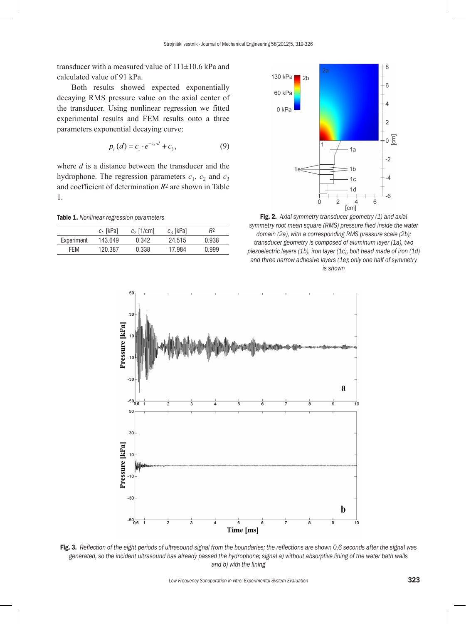transducer with a measured value of  $111\pm10.6$  kPa and calculated value of 91 kPa.

Both results showed expected exponentially decaying RMS pressure value on the axial center of the transducer. Using nonlinear regression we fitted experimental results and FEM results onto a three parameters exponential decaying curve:

$$
p_r(d) = c_1 \cdot e^{-c_2 \cdot d} + c_3,\tag{9}
$$

where *d* is a distance between the transducer and the hydrophone. The regression parameters  $c_1$ ,  $c_2$  and  $c_3$ and coefficient of determination *R*2 are shown in Table 1.

Table 1. *Nonlinear regression parameters*

|            | $c_1$ [kPa] | $c_2$ [1/cm] | $c_3$ [kPa] | R2    |
|------------|-------------|--------------|-------------|-------|
| Experiment | 143.649     | በ 342        | 24.515      | 0.938 |
| FFM        | 120.387     | 0.338        | 17 984      | 0.999 |



Fig. 2. *Axial symmetry transducer geometry (1) and axial symmetry root mean square (RMS) pressure filed inside the water domain (2a), with a corresponding RMS pressure scale (2b); transducer geometry is composed of aluminum layer (1a), two piezoelectric layers (1b), iron layer (1c), bolt head made of iron (1d) and three narrow adhesive layers (1e); only one half of symmetry is shown*



Fig. 3. *Reflection of the eight periods of ultrasound signal from the boundaries; the reflections are shown 0.6 seconds after the signal was generated, so the incident ultrasound has already passed the hydrophone; signal a) without absorptive lining of the water bath walls and b) with the lining*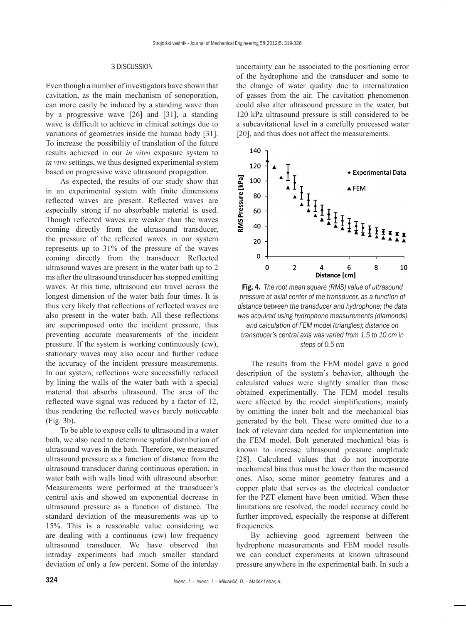#### 3 DISCUSSION

Even though a number of investigators have shown that cavitation, as the main mechanism of sonoporation, can more easily be induced by a standing wave than by a progressive wave [26] and [31], a standing wave is difficult to achieve in clinical settings due to variations of geometries inside the human body [31]. To increase the possibility of translation of the future results achieved in our *in vitro* exposure system to *in vivo* settings, we thus designed experimental system based on progressive wave ultrasound propagation.

As expected, the results of our study show that in an experimental system with finite dimensions reflected waves are present. Reflected waves are especially strong if no absorbable material is used. Though reflected waves are weaker than the waves coming directly from the ultrasound transducer, the pressure of the reflected waves in our system represents up to 31% of the pressure of the waves coming directly from the transducer. Reflected ultrasound waves are present in the water bath up to 2 ms after the ultrasound transducer has stopped emitting waves. At this time, ultrasound can travel across the longest dimension of the water bath four times. It is thus very likely that reflections of reflected waves are also present in the water bath. All these reflections are superimposed onto the incident pressure, thus preventing accurate measurements of the incident pressure. If the system is working continuously (cw), stationary waves may also occur and further reduce the accuracy of the incident pressure measurements. In our system, reflections were successfully reduced by lining the walls of the water bath with a special material that absorbs ultrasound. The area of the reflected wave signal was reduced by a factor of 12, thus rendering the reflected waves barely noticeable (Fig. 3b).

To be able to expose cells to ultrasound in a water bath, we also need to determine spatial distribution of ultrasound waves in the bath. Therefore, we measured ultrasound pressure as a function of distance from the ultrasound transducer during continuous operation, in water bath with walls lined with ultrasound absorber. Measurements were performed at the transducer's central axis and showed an exponential decrease in ultrasound pressure as a function of distance. The standard deviation of the measurements was up to 15%. This is a reasonable value considering we are dealing with a continuous (cw) low frequency ultrasound transducer. We have observed that intraday experiments had much smaller standard deviation of only a few percent. Some of the interday

uncertainty can be associated to the positioning error of the hydrophone and the transducer and some to the change of water quality due to internalization of gasses from the air. The cavitation phenomenon could also alter ultrasound pressure in the water, but 120 kPa ultrasound pressure is still considered to be a subcavitational level in a carefully processed water [20], and thus does not affect the measurements.



Fig. 4. *The root mean square (RMS) value of ultrasound pressure at axial center of the transducer, as a function of distance between the transducer and hydrophone; the data was acquired using hydrophone measurements (diamonds) and calculation of FEM model (triangles); distance on transducer's central axis was varied from 1.5 to 10 cm in steps of 0.5 cm*

The results from the FEM model gave a good description of the system's behavior, although the calculated values were slightly smaller than those obtained experimentally. The FEM model results were affected by the model simplifications; mainly by omitting the inner bolt and the mechanical bias generated by the bolt. These were omitted due to a lack of relevant data needed for implementation into the FEM model. Bolt generated mechanical bias is known to increase ultrasound pressure amplitude [28]. Calculated values that do not incorporate mechanical bias thus must be lower than the measured ones. Also, some minor geometry features and a copper plate that serves as the electrical conductor for the PZT element have been omitted. When these limitations are resolved, the model accuracy could be further improved, especially the response at different frequencies.

By achieving good agreement between the hydrophone measurements and FEM model results we can conduct experiments at known ultrasound pressure anywhere in the experimental bath. In such a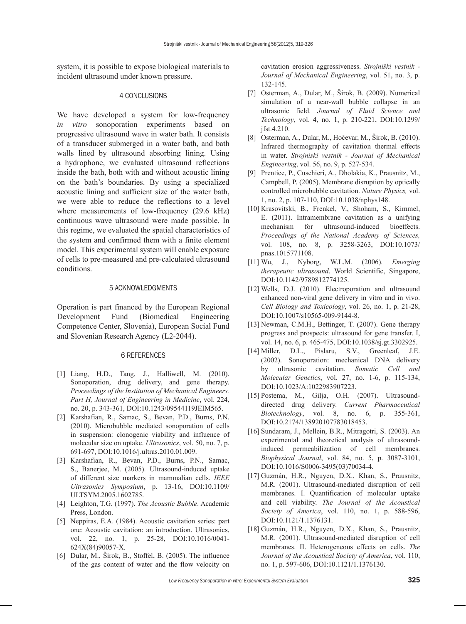system, it is possible to expose biological materials to incident ultrasound under known pressure.

## 4 CONCLUSIONS

We have developed a system for low-frequency *in vitro* sonoporation experiments based on progressive ultrasound wave in water bath. It consists of a transducer submerged in a water bath, and bath walls lined by ultrasound absorbing lining. Using a hydrophone, we evaluated ultrasound reflections inside the bath, both with and without acoustic lining on the bath's boundaries. By using a specialized acoustic lining and sufficient size of the water bath, we were able to reduce the reflections to a level where measurements of low-frequency (29.6 kHz) continuous wave ultrasound were made possible. In this regime, we evaluated the spatial characteristics of the system and confirmed them with a finite element model. This experimental system will enable exposure of cells to pre-measured and pre-calculated ultrasound conditions.

# 5 ACKNOWLEDGMENTS

Operation is part financed by the European Regional Development Fund (Biomedical Engineering Competence Center, Slovenia), European Social Fund and Slovenian Research Agency (L2-2044).

#### 6 REFERENCES

- [1] Liang, H.D., Tang, J., Halliwell, M. (2010). Sonoporation, drug delivery, and gene therapy. *Proceedings of the Institution of Mechanical Engineers. Part H, Journal of Engineering in Medicine*, vol. 224, no. 20, p. 343-361, DOI:[10.1243/09544119JEIM565.](http://dx.doi.org/10.1243/09544119JEIM565)
- [2] Karshafian, R., Samac, S., Bevan, P.D., Burns, P.N. (2010). Microbubble mediated sonoporation of cells in suspension: clonogenic viability and influence of molecular size on uptake. *Ultrasonics*, vol. 50, no. 7, p. 691-697, [DOI:10.1016/j.ultras.2010.01.009](http://dx.doi.org/10.1016/j.ultras.2010.01.009).
- [3] Karshafian, R., Bevan, P.D., Burns, P.N., Samac, S., Banerjee, M. (2005). Ultrasound-induced uptake of different size markers in mammalian cells. *IEEE Ultrasonics Symposium*, p. 13-16, [DOI:10.1109/](http://dx.doi.org/10.1109/ULTSYM.2005.1602785) [ULTSYM.2005.1602785.](http://dx.doi.org/10.1109/ULTSYM.2005.1602785)
- [4] Leighton, T.G. (1997). *The Acoustic Bubble*. Academic Press, London.
- [5] Neppiras, E.A. (1984). Acoustic cavitation series: part one: Acoustic cavitation: an introduction. Ultrasonics, vol. 22, no. 1, p. 25-28, [DOI:10.1016/0041-](http://dx.doi.org/10.1016/0041-624X(84)90057-X) [624X\(84\)90057-X.](http://dx.doi.org/10.1016/0041-624X(84)90057-X)
- [6] Dular, M., Širok, B., Stoffel, B. (2005). The influence of the gas content of water and the flow velocity on

cavitation erosion aggressiveness. *Strojniški vestnik - Journal of Mechanical Engineering*, vol. 51, no. 3, p. 132-145.

- [7] Osterman, A., Dular, M., Širok, B. (2009). Numerical simulation of a near-wall bubble collapse in an ultrasonic field. *Journal of Fluid Science and Technology*, vol. 4, no. 1, p. 210-221, [DOI:10.1299/](http://dx.doi.org/10.1016/0041-624X(84)90057-X) [jfst.4.210.](http://dx.doi.org/10.1016/0041-624X(84)90057-X)
- [8] Osterman, A., Dular, M., Hočevar, M., Širok, B. (2010). Infrared thermography of cavitation thermal effects in water. *Strojniski vestnik - Journal of Mechanical Engineering*, vol. 56, no. 9, p. 527-534.
- [9] Prentice, P., Cuschieri, A., Dholakia, K., Prausnitz, M., Campbell, P. (2005). Membrane disruption by optically controlled microbubble cavitation. *Nature Physics,* vol. 1, no. 2, p. 107-110, [DOI:10.1038/nphys148](DOI:http://dx.doi.org/10.1038/nphys148).
- [10] Krasovitski, B., Frenkel, V., Shoham, S., Kimmel, E. (2011). Intramembrane cavitation as a unifying mechanism for ultrasound-induced bioeffects. *Proceedings of the National Academy of Sciences,* vol. 108, no. 8, p. 3258-3263, [DOI:10.1073/](http://dx.doi.org/10.1073/pnas.1015771108) [pnas.1015771108.](http://dx.doi.org/10.1073/pnas.1015771108)
- [11] Wu, J., Nyborg, W.L.M. (2006). *Emerging therapeutic ultrasound*. World Scientific, Singapore, [DOI:10.1142/9789812774125.](http://dx.doi.org/10.1142/9789812774125)
- [12] Wells, D.J. (2010). Electroporation and ultrasound enhanced non-viral gene delivery in vitro and in vivo. *Cell Biology and Toxicology*, vol. 26, no. 1, p. 21-28, [DOI:10.1007/s10565-009-9144-8.](http://dx.doi.org/10.1007/s10565-009-9144-8)
- [13] Newman, C.M.H., Bettinger, T. (2007). Gene therapy progress and prospects: ultrasound for gene transfer. I, vol. 14, no. 6, p. 465-475, [DOI:10.1038/sj.gt.3302925.](http://dx.doi.org/10.1007/s10565-009-9144-8)
- [14] Miller, D.L., Pislaru, S.V., Greenleaf, J.E. (2002). Sonoporation: mechanical DNA delivery by ultrasonic cavitation. *Somatic Cell and Molecular Genetics*, vol. 27, no. 1-6, p. 115-134, [DOI:10.1023/A:1022983907223.](http://www.springerlink.com/content/xu7x737825535305/)
- [15] Postema, M., Gilja, O.H. (2007). Ultrasounddirected drug delivery. *Current Pharmaceutical Biotechnology*, vol. 8, no. 6, p. 355-361, [DOI:10.2174/138920107783018453.](http://dx.doi.org/10.2174/138920107783018453)
- [16] Sundaram, J., Mellein, B.R., Mitragotri, S. (2003). An experimental and theoretical analysis of ultrasoundinduced permeabilization of cell membranes. *Biophysical Journal*, vol. 84, no. 5, p. 3087-3101, [DOI:10.1016/S0006-3495\(03\)70034-4.](http://dx.doi.org/10.1016/S0006-3495(03)70034-4
)
- [17] Guzmán, H.R., Nguyen, D.X., Khan, S., Prausnitz, M.R. (2001). Ultrasound-mediated disruption of cell membranes. I. Quantification of molecular uptake and cell viability. *The Journal of the Acoustical Society of America*, vol. 110, no. 1, p. 588-596, [DOI:10.1121/1.1376131](http://dx.doi.org/10.1121/1.1376131).
- [18] Guzmán, H.R., Nguyen, D.X., Khan, S., Prausnitz, M.R. (2001). Ultrasound-mediated disruption of cell membranes. II. Heterogeneous effects on cells. *The Journal of the Acoustical Society of America*, vol. 110, no. 1, p. 597-606, [DOI:10.1121/1.1376130](http://dx.doi.org/10.1121/1.1376131).